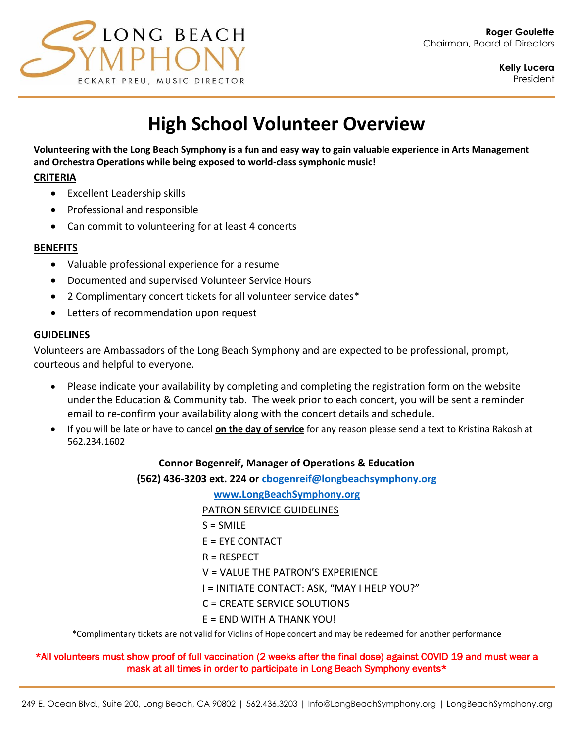

# **High School Volunteer Overview**

**Volunteering with the Long Beach Symphony is a fun and easy way to gain valuable experience in Arts Management and Orchestra Operations while being exposed to world-class symphonic music!** 

## **CRITERIA**

- Excellent Leadership skills
- Professional and responsible
- Can commit to volunteering for at least 4 concerts

# **BENEFITS**

- Valuable professional experience for a resume
- Documented and supervised Volunteer Service Hours
- 2 Complimentary concert tickets for all volunteer service dates\*
- Letters of recommendation upon request

# **GUIDELINES**

Volunteers are Ambassadors of the Long Beach Symphony and are expected to be professional, prompt, courteous and helpful to everyone.

- Please indicate your availability by completing and completing the registration form on the website under the Education & Community tab. The week prior to each concert, you will be sent a reminder email to re-confirm your availability along with the concert details and schedule.
- If you will be late or have to cancel **on the day of service** for any reason please send a text to Kristina Rakosh at 562.234.1602

## **Connor Bogenreif, Manager of Operations & Education**

**(562) 436-3203 ext. 224 or [cbogenreif@longbeachsymphony.org](mailto:cbogenreif@longbeachsymphony.org)**

**[www.LongBeachSymphony.org](http://www.longbeachsymphony.org/)**

PATRON SERVICE GUIDELINES

- $S = SMILE$
- $E = EYE$  CONTACT
- R = RESPECT
- V = VALUE THE PATRON'S EXPERIENCE
- I = INITIATE CONTACT: ASK, "MAY I HELP YOU?"
- C = CREATE SERVICE SOLUTIONS
- E = END WITH A THANK YOU!

\*Complimentary tickets are not valid for Violins of Hope concert and may be redeemed for another performance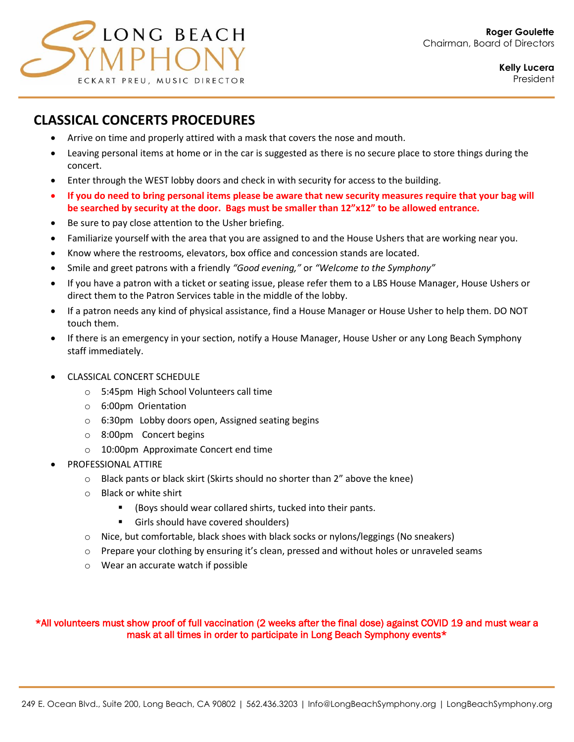

# **CLASSICAL CONCERTS PROCEDURES**

- Arrive on time and properly attired with a mask that covers the nose and mouth.
- Leaving personal items at home or in the car is suggested as there is no secure place to store things during the concert.
- Enter through the WEST lobby doors and check in with security for access to the building.
- **If you do need to bring personal items please be aware that new security measures require that your bag will be searched by security at the door. Bags must be smaller than 12"x12" to be allowed entrance.**
- Be sure to pay close attention to the Usher briefing.
- Familiarize yourself with the area that you are assigned to and the House Ushers that are working near you.
- Know where the restrooms, elevators, box office and concession stands are located.
- Smile and greet patrons with a friendly *"Good evening,"* or *"Welcome to the Symphony"*
- If you have a patron with a ticket or seating issue, please refer them to a LBS House Manager, House Ushers or direct them to the Patron Services table in the middle of the lobby.
- If a patron needs any kind of physical assistance, find a House Manager or House Usher to help them. DO NOT touch them.
- If there is an emergency in your section, notify a House Manager, House Usher or any Long Beach Symphony staff immediately.
- CLASSICAL CONCERT SCHEDULE
	- o 5:45pm High School Volunteers call time
	- o 6:00pm Orientation
	- o 6:30pm Lobby doors open, Assigned seating begins
	- o 8:00pm Concert begins
	- o 10:00pm Approximate Concert end time
- PROFESSIONAL ATTIRE
	- o Black pants or black skirt (Skirts should no shorter than 2" above the knee)
	- o Black or white shirt
		- (Boys should wear collared shirts, tucked into their pants.
		- Girls should have covered shoulders)
	- $\circ$  Nice, but comfortable, black shoes with black socks or nylons/leggings (No sneakers)
	- $\circ$  Prepare your clothing by ensuring it's clean, pressed and without holes or unraveled seams
	- o Wear an accurate watch if possible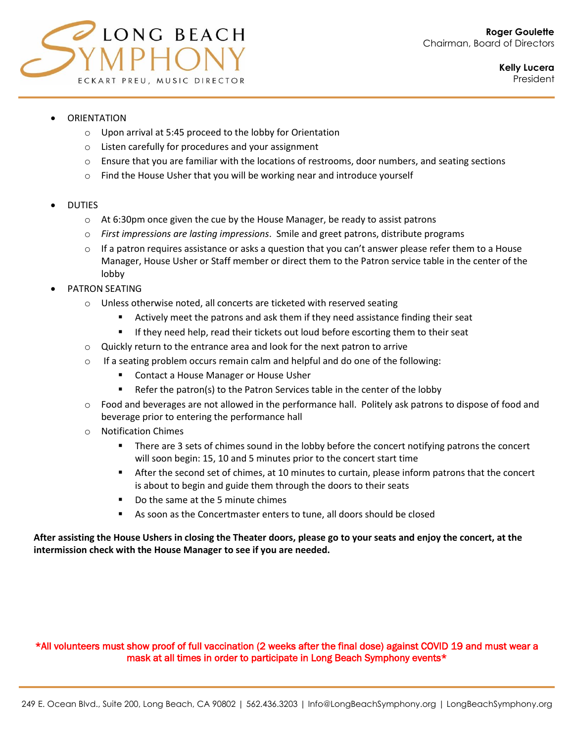

- **ORIENTATION** 
	- o Upon arrival at 5:45 proceed to the lobby for Orientation
	- o Listen carefully for procedures and your assignment
	- $\circ$  Ensure that you are familiar with the locations of restrooms, door numbers, and seating sections
	- $\circ$  Find the House Usher that you will be working near and introduce yourself

#### • DUTIES

- $\circ$  At 6:30pm once given the cue by the House Manager, be ready to assist patrons
- o *First impressions are lasting impressions*. Smile and greet patrons, distribute programs
- $\circ$  If a patron requires assistance or asks a question that you can't answer please refer them to a House Manager, House Usher or Staff member or direct them to the Patron service table in the center of the lobby
- PATRON SEATING
	- o Unless otherwise noted, all concerts are ticketed with reserved seating
		- Actively meet the patrons and ask them if they need assistance finding their seat
		- **■** If they need help, read their tickets out loud before escorting them to their seat
	- o Quickly return to the entrance area and look for the next patron to arrive
	- $\circ$  If a seating problem occurs remain calm and helpful and do one of the following:
		- Contact a House Manager or House Usher
		- Refer the patron(s) to the Patron Services table in the center of the lobby
	- $\circ$  Food and beverages are not allowed in the performance hall. Politely ask patrons to dispose of food and beverage prior to entering the performance hall
	- o Notification Chimes
		- There are 3 sets of chimes sound in the lobby before the concert notifying patrons the concert will soon begin: 15, 10 and 5 minutes prior to the concert start time
		- After the second set of chimes, at 10 minutes to curtain, please inform patrons that the concert is about to begin and guide them through the doors to their seats
		- Do the same at the 5 minute chimes
		- As soon as the Concertmaster enters to tune, all doors should be closed

#### **After assisting the House Ushers in closing the Theater doors, please go to your seats and enjoy the concert, at the intermission check with the House Manager to see if you are needed.**